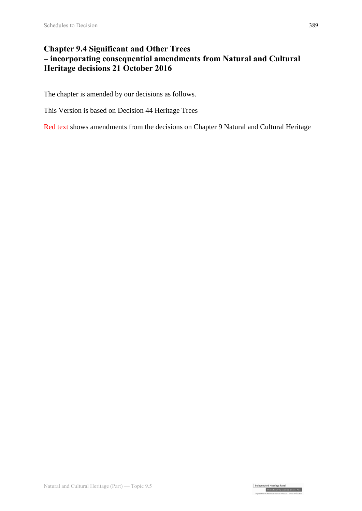# **Chapter 9.4 Significant and Other Trees – incorporating consequential amendments from Natural and Cultural Heritage decisions 21 October 2016**

The chapter is amended by our decisions as follows.

This Version is based on Decision 44 Heritage Trees

Red text shows amendments from the decisions on Chapter 9 Natural and Cultural Heritage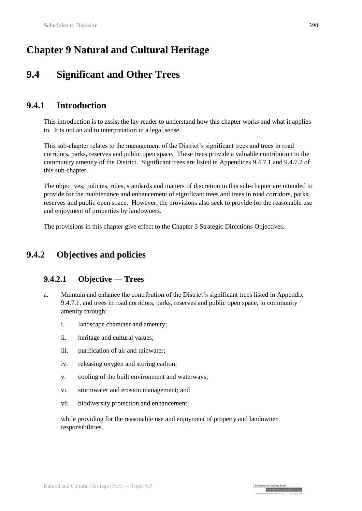# **Chapter 9 Natural and Cultural Heritage**

# **9.4 Significant and Other Trees**

# **9.4.1 Introduction**

This introduction is to assist the lay reader to understand how this chapter works and what it applies to. It is not an aid to interpretation in a legal sense.

This sub-chapter relates to the management of the District's significant trees and trees in road corridors, parks, reserves and public open space. These trees provide a valuable contribution to the community amenity of the District. Significant trees are listed in Appendices 9.4.7.1 and 9.4.7.2 of this sub-chapter.

The objectives, policies, rules, standards and matters of discretion in this sub-chapter are intended to provide for the maintenance and enhancement of significant trees and trees in road corridors, parks, reserves and public open space. However, the provisions also seek to provide for the reasonable use and enjoyment of properties by landowners.

The provisions in this chapter give effect to the Chapter 3 Strategic Directions Objectives.

# **9.4.2 Objectives and policies**

### **9.4.2.1 Objective — Trees**

- a. Maintain and enhance the contribution of the District's significant trees listed in Appendix 9.4.7.1, and trees in road corridors, parks, reserves and public open space, to community amenity through:
	- i. landscape character and amenity;
	- ii. heritage and cultural values;
	- iii. purification of air and rainwater;
	- iv. releasing oxygen and storing carbon;
	- v. cooling of the built environment and waterways;
	- vi. stormwater and erosion management; and
	- vii. biodiversity protection and enhancement;

while providing for the reasonable use and enjoyment of property and landowner responsibilities.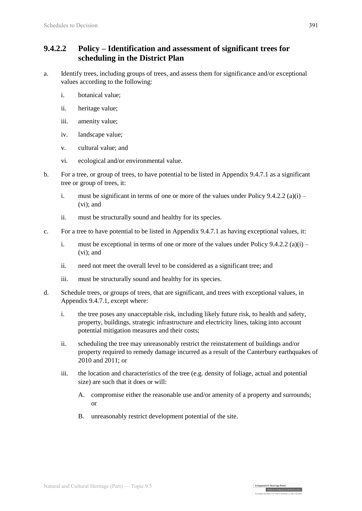### **9.4.2.2 Policy – Identification and assessment of significant trees for scheduling in the District Plan**

- a. Identify trees, including groups of trees, and assess them for significance and/or exceptional values according to the following:
	- i. botanical value;
	- ii. heritage value;
	- iii. amenity value;
	- iv. landscape value;
	- v. cultural value; and
	- vi. ecological and/or environmental value.
- b. For a tree, or group of trees, to have potential to be listed in Appendix 9.4.7.1 as a significant tree or group of trees, it:
	- i. must be significant in terms of one or more of the values under Policy  $9.4.2.2$  (a)(i) (vi); and
	- ii. must be structurally sound and healthy for its species.
- c. For a tree to have potential to be listed in Appendix 9.4.7.1 as having exceptional values, it:
	- i. must be exceptional in terms of one or more of the values under Policy  $9.4.2.2$  (a)(i) (vi); and
	- ii. need not meet the overall level to be considered as a significant tree; and
	- iii. must be structurally sound and healthy for its species.
- d. Schedule trees, or groups of trees, that are significant, and trees with exceptional values, in Appendix 9.4.7.1, except where:
	- i. the tree poses any unacceptable risk, including likely future risk, to health and safety, property, buildings, strategic infrastructure and electricity lines, taking into account potential mitigation measures and their costs;
	- ii. scheduling the tree may unreasonably restrict the reinstatement of buildings and/or property required to remedy damage incurred as a result of the Canterbury earthquakes of 2010 and 2011; or
	- iii. the location and characteristics of the tree (e.g. density of foliage, actual and potential size) are such that it does or will:
		- A. compromise either the reasonable use and/or amenity of a property and surrounds; or

Independent Hearings Panel

Christchurch Replacement District Plan

B. unreasonably restrict development potential of the site.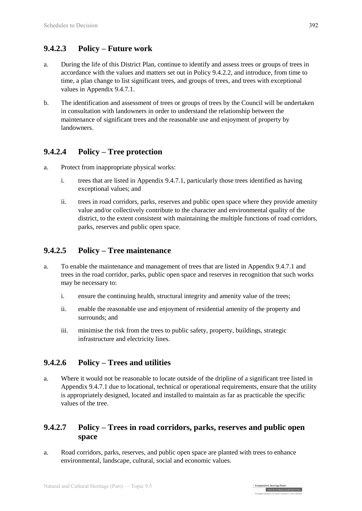## **9.4.2.3 Policy – Future work**

- a. During the life of this District Plan, continue to identify and assess trees or groups of trees in accordance with the values and matters set out in Policy 9.4.2.2, and introduce, from time to time, a plan change to list significant trees, and groups of trees, and trees with exceptional values in Appendix 9.4.7.1.
- b. The identification and assessment of trees or groups of trees by the Council will be undertaken in consultation with landowners in order to understand the relationship between the maintenance of significant trees and the reasonable use and enjoyment of property by landowners.

## **9.4.2.4 Policy – Tree protection**

- a. Protect from inappropriate physical works:
	- i. trees that are listed in Appendix 9.4.7.1, particularly those trees identified as having exceptional values; and
	- ii. trees in road corridors, parks, reserves and public open space where they provide amenity value and/or collectively contribute to the character and environmental quality of the district, to the extent consistent with maintaining the multiple functions of road corridors, parks, reserves and public open space.

### **9.4.2.5 Policy – Tree maintenance**

- a. To enable the maintenance and management of trees that are listed in Appendix 9.4.7.1 and trees in the road corridor, parks, public open space and reserves in recognition that such works may be necessary to:
	- i. ensure the continuing health, structural integrity and amenity value of the trees;
	- ii. enable the reasonable use and enjoyment of residential amenity of the property and surrounds; and
	- iii. minimise the risk from the trees to public safety, property, buildings, strategic infrastructure and electricity lines.

### **9.4.2.6 Policy – Trees and utilities**

a. Where it would not be reasonable to locate outside of the dripline of a significant tree listed in Appendix 9.4.7.1 due to locational, technical or operational requirements, ensure that the utility is appropriately designed, located and installed to maintain as far as practicable the specific values of the tree.

### **9.4.2.7 Policy – Trees in road corridors, parks, reserves and public open space**

a. Road corridors, parks, reserves, and public open space are planted with trees to enhance environmental, landscape, cultural, social and economic values.

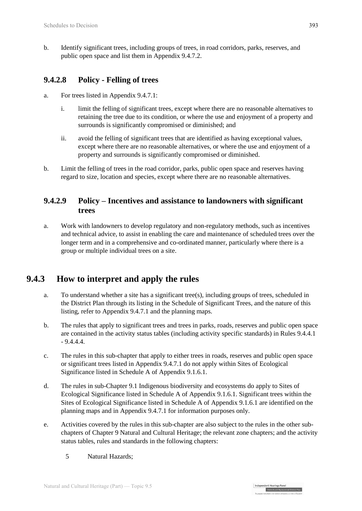b. Identify significant trees, including groups of trees, in road corridors, parks, reserves, and public open space and list them in Appendix 9.4.7.2.

### **9.4.2.8 Policy - Felling of trees**

- a. For trees listed in Appendix 9.4.7.1:
	- i. limit the felling of significant trees, except where there are no reasonable alternatives to retaining the tree due to its condition, or where the use and enjoyment of a property and surrounds is significantly compromised or diminished; and
	- ii. avoid the felling of significant trees that are identified as having exceptional values, except where there are no reasonable alternatives, or where the use and enjoyment of a property and surrounds is significantly compromised or diminished.
- b. Limit the felling of trees in the road corridor, parks, public open space and reserves having regard to size, location and species, except where there are no reasonable alternatives.

### **9.4.2.9 Policy – Incentives and assistance to landowners with significant trees**

a. Work with landowners to develop regulatory and non-regulatory methods, such as incentives and technical advice, to assist in enabling the care and maintenance of scheduled trees over the longer term and in a comprehensive and co-ordinated manner, particularly where there is a group or multiple individual trees on a site.

# **9.4.3 How to interpret and apply the rules**

- a. To understand whether a site has a significant tree(s), including groups of trees, scheduled in the District Plan through its listing in the Schedule of Significant Trees, and the nature of this listing, refer to Appendix 9.4.7.1 and the planning maps.
- b. The rules that apply to significant trees and trees in parks, roads, reserves and public open space are contained in the activity status tables (including activity specific standards) in Rules 9.4.4.1  $-9.4.4.4.$
- c. The rules in this sub-chapter that apply to either trees in roads, reserves and public open space or significant trees listed in Appendix 9.4.7.1 do not apply within Sites of Ecological Significance listed in Schedule A of Appendix 9.1.6.1.
- d. The rules in sub-Chapter 9.1 Indigenous biodiversity and ecosystems do apply to Sites of Ecological Significance listed in Schedule A of Appendix 9.1.6.1. Significant trees within the Sites of Ecological Significance listed in Schedule A of Appendix 9.1.6.1 are identified on the planning maps and in Appendix 9.4.7.1 for information purposes only.
- e. Activities covered by the rules in this sub-chapter are also subject to the rules in the other subchapters of Chapter 9 Natural and Cultural Heritage; the relevant zone chapters; and the activity status tables, rules and standards in the following chapters:
	- 5 Natural Hazards;

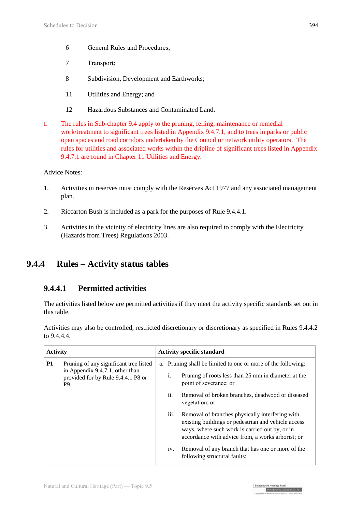- 6 General Rules and Procedures;
- 7 Transport;
- 8 Subdivision, Development and Earthworks;
- 11 Utilities and Energy; and
- 12 Hazardous Substances and Contaminated Land.
- f. The rules in Sub-chapter 9.4 apply to the pruning, felling, maintenance or remedial work/treatment to significant trees listed in Appendix 9.4.7.1, and to trees in parks or public open spaces and road corridors undertaken by the Council or network utility operators. The rules for utilities and associated works within the dripline of significant trees listed in Appendix 9.4.7.1 are found in Chapter 11 Utilities and Energy.

Advice Notes:

- 1. Activities in reserves must comply with the Reserves Act 1977 and any associated management plan.
- 2. Riccarton Bush is included as a park for the purposes of Rule 9.4.4.1.
- 3. Activities in the vicinity of electricity lines are also required to comply with the Electricity (Hazards from Trees) Regulations 2003.

# **9.4.4 Rules – Activity status tables**

### **9.4.4.1 Permitted activities**

The activities listed below are permitted activities if they meet the activity specific standards set out in this table.

Activities may also be controlled, restricted discretionary or discretionary as specified in Rules 9.4.4.2 to 9.4.4.4.

| <b>Activity</b>                                                              |  | <b>Activity specific standard</b> |                                                                               |                                                                                                                                                                                                               |
|------------------------------------------------------------------------------|--|-----------------------------------|-------------------------------------------------------------------------------|---------------------------------------------------------------------------------------------------------------------------------------------------------------------------------------------------------------|
| <b>P1</b><br>Pruning of any significant tree listed                          |  |                                   |                                                                               | a. Pruning shall be limited to one or more of the following:                                                                                                                                                  |
| in Appendix 9.4.7.1, other than<br>provided for by Rule 9.4.4.1 P8 or<br>P9. |  | i.                                | Pruning of roots less than 25 mm in diameter at the<br>point of severance; or |                                                                                                                                                                                                               |
|                                                                              |  |                                   | ii.                                                                           | Removal of broken branches, deadwood or diseased<br>vegetation; or                                                                                                                                            |
|                                                                              |  |                                   | iii.                                                                          | Removal of branches physically interfering with<br>existing buildings or pedestrian and vehicle access<br>ways, where such work is carried out by, or in<br>accordance with advice from, a works arborist; or |
|                                                                              |  |                                   | iv.                                                                           | Removal of any branch that has one or more of the<br>following structural faults:                                                                                                                             |

| Independent Hearings Pane

Christchurch Replacement District Pl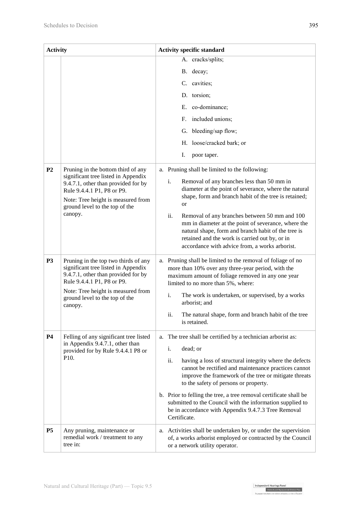| <b>Activity</b>                                                                                                                                |                                                                                                                                                  | <b>Activity specific standard</b>                                                                                                                                                                                                                                                   |  |  |
|------------------------------------------------------------------------------------------------------------------------------------------------|--------------------------------------------------------------------------------------------------------------------------------------------------|-------------------------------------------------------------------------------------------------------------------------------------------------------------------------------------------------------------------------------------------------------------------------------------|--|--|
|                                                                                                                                                |                                                                                                                                                  | A. cracks/splits;                                                                                                                                                                                                                                                                   |  |  |
|                                                                                                                                                |                                                                                                                                                  | B. decay;                                                                                                                                                                                                                                                                           |  |  |
|                                                                                                                                                |                                                                                                                                                  | C. cavities;                                                                                                                                                                                                                                                                        |  |  |
|                                                                                                                                                |                                                                                                                                                  | D. torsion;                                                                                                                                                                                                                                                                         |  |  |
|                                                                                                                                                |                                                                                                                                                  | E. co-dominance;                                                                                                                                                                                                                                                                    |  |  |
|                                                                                                                                                |                                                                                                                                                  | included unions;<br>$F_{\cdot}$                                                                                                                                                                                                                                                     |  |  |
|                                                                                                                                                |                                                                                                                                                  | G. bleeding/sap flow;                                                                                                                                                                                                                                                               |  |  |
|                                                                                                                                                |                                                                                                                                                  | H. loose/cracked bark; or                                                                                                                                                                                                                                                           |  |  |
|                                                                                                                                                |                                                                                                                                                  | I.<br>poor taper.                                                                                                                                                                                                                                                                   |  |  |
| P <sub>2</sub>                                                                                                                                 | Pruning in the bottom third of any                                                                                                               | a. Pruning shall be limited to the following:                                                                                                                                                                                                                                       |  |  |
| significant tree listed in Appendix<br>9.4.7.1, other than provided for by<br>Rule 9.4.4.1 P1, P8 or P9.<br>Note: Tree height is measured from |                                                                                                                                                  | i.<br>Removal of any branches less than 50 mm in<br>diameter at the point of severance, where the natural<br>shape, form and branch habit of the tree is retained;                                                                                                                  |  |  |
|                                                                                                                                                | ground level to the top of the<br>canopy.                                                                                                        | <b>or</b><br>ii.<br>Removal of any branches between 50 mm and 100<br>mm in diameter at the point of severance, where the<br>natural shape, form and branch habit of the tree is<br>retained and the work is carried out by, or in<br>accordance with advice from, a works arborist. |  |  |
| <b>P3</b>                                                                                                                                      | Pruning in the top two thirds of any<br>significant tree listed in Appendix<br>9.4.7.1, other than provided for by<br>Rule 9.4.4.1 P1, P8 or P9. | a. Pruning shall be limited to the removal of foliage of no<br>more than 10% over any three-year period, with the<br>maximum amount of foliage removed in any one year<br>limited to no more than 5%, where:                                                                        |  |  |
|                                                                                                                                                | Note: Tree height is measured from<br>ground level to the top of the<br>canopy.                                                                  | i.<br>The work is undertaken, or supervised, by a works<br>arborist; and                                                                                                                                                                                                            |  |  |
|                                                                                                                                                |                                                                                                                                                  | The natural shape, form and branch habit of the tree<br>ii.<br>is retained.                                                                                                                                                                                                         |  |  |
| <b>P4</b>                                                                                                                                      | Felling of any significant tree listed<br>in Appendix 9.4.7.1, other than                                                                        | a. The tree shall be certified by a technician arborist as:                                                                                                                                                                                                                         |  |  |
|                                                                                                                                                | provided for by Rule 9.4.4.1 P8 or<br>P <sub>10</sub> .                                                                                          | i.<br>dead; or                                                                                                                                                                                                                                                                      |  |  |
|                                                                                                                                                |                                                                                                                                                  | ii.<br>having a loss of structural integrity where the defects<br>cannot be rectified and maintenance practices cannot<br>improve the framework of the tree or mitigate threats<br>to the safety of persons or property.                                                            |  |  |
|                                                                                                                                                |                                                                                                                                                  | b. Prior to felling the tree, a tree removal certificate shall be<br>submitted to the Council with the information supplied to<br>be in accordance with Appendix 9.4.7.3 Tree Removal<br>Certificate.                                                                               |  |  |
| P <sub>5</sub>                                                                                                                                 | Any pruning, maintenance or<br>remedial work / treatment to any<br>tree in:                                                                      | Activities shall be undertaken by, or under the supervision<br>a.<br>of, a works arborist employed or contracted by the Council<br>or a network utility operator.                                                                                                                   |  |  |

Independent Hearings Panel<br>Christchurch Replacement District Plan<br>To agent application of a make only the base of fourth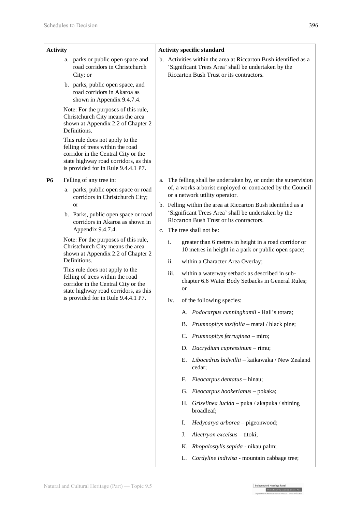| <b>Activity</b> |                                                                                                                                                                                                                                                                                                                                                                                                                                                                                                                                                   | <b>Activity specific standard</b> |                          |                                                                                                                                                                                                                                                                                                                                                                                                                                                                                                                                                                                                                                                                                                                                                                                                                                                                                                                                                                                                                                                                                                                                                                                                                                      |
|-----------------|---------------------------------------------------------------------------------------------------------------------------------------------------------------------------------------------------------------------------------------------------------------------------------------------------------------------------------------------------------------------------------------------------------------------------------------------------------------------------------------------------------------------------------------------------|-----------------------------------|--------------------------|--------------------------------------------------------------------------------------------------------------------------------------------------------------------------------------------------------------------------------------------------------------------------------------------------------------------------------------------------------------------------------------------------------------------------------------------------------------------------------------------------------------------------------------------------------------------------------------------------------------------------------------------------------------------------------------------------------------------------------------------------------------------------------------------------------------------------------------------------------------------------------------------------------------------------------------------------------------------------------------------------------------------------------------------------------------------------------------------------------------------------------------------------------------------------------------------------------------------------------------|
|                 | a. parks or public open space and<br>road corridors in Christchurch<br>City; or<br>b. parks, public open space, and<br>road corridors in Akaroa as<br>shown in Appendix 9.4.7.4.<br>Note: For the purposes of this rule,<br>Christchurch City means the area<br>shown at Appendix 2.2 of Chapter 2<br>Definitions.<br>This rule does not apply to the<br>felling of trees within the road<br>corridor in the Central City or the<br>state highway road corridors, as this<br>is provided for in Rule 9.4.4.1 P7.                                  |                                   |                          | b. Activities within the area at Riccarton Bush identified as a<br>'Significant Trees Area' shall be undertaken by the<br>Riccarton Bush Trust or its contractors.                                                                                                                                                                                                                                                                                                                                                                                                                                                                                                                                                                                                                                                                                                                                                                                                                                                                                                                                                                                                                                                                   |
| <b>P6</b>       | Felling of any tree in:<br>a. parks, public open space or road<br>corridors in Christchurch City;<br><sub>or</sub><br>b. Parks, public open space or road<br>corridors in Akaroa as shown in<br>Appendix 9.4.7.4.<br>Note: For the purposes of this rule,<br>Christchurch City means the area<br>shown at Appendix 2.2 of Chapter 2<br>Definitions.<br>This rule does not apply to the<br>felling of trees within the road<br>corridor in the Central City or the<br>state highway road corridors, as this<br>is provided for in Rule 9.4.4.1 P7. |                                   | i.<br>ii.<br>iii.<br>iv. | a. The felling shall be undertaken by, or under the supervision<br>of, a works arborist employed or contracted by the Council<br>or a network utility operator.<br>b. Felling within the area at Riccarton Bush identified as a<br>'Significant Trees Area' shall be undertaken by the<br>Riccarton Bush Trust or its contractors.<br>c. The tree shall not be:<br>greater than 6 metres in height in a road corridor or<br>10 metres in height in a park or public open space;<br>within a Character Area Overlay;<br>within a waterway setback as described in sub-<br>chapter 6.6 Water Body Setbacks in General Rules;<br>or<br>of the following species:<br>A. Podocarpus cunninghamii - Hall's totara;<br>B. Prumnopitys taxifolia - matai / black pine;<br>C. Prumnopitys ferruginea - miro;<br>D. Dacrydium cupressinum - rimu;<br>Libocedrus bidwillii – kaikawaka / New Zealand<br>Е.<br>cedar;<br>Eleocarpus dentatus - hinau;<br>F.<br>G. Eleocarpus hookerianus - pokaka;<br>H. Griselinea lucida – puka / akapuka / shining<br>broadleaf;<br>Hedycarya arborea - pigeonwood;<br>Ι.<br>Alectryon excelsus - titoki;<br>J.<br>K. Rhopalostylis sapida - nikau palm;<br>Cordyline indivisa - mountain cabbage tree;<br>L. |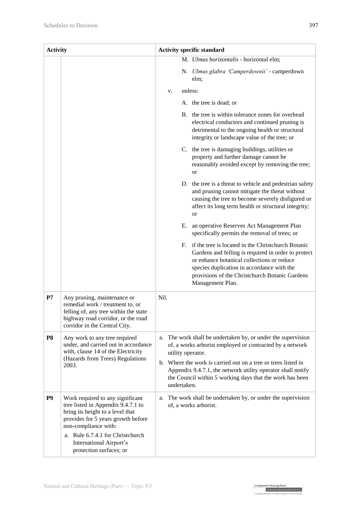| <b>Activity</b> |                                                                                                                                                                                                                                                                    | <b>Activity specific standard</b>                                                                                                                                                                                                                                                                                                                           |  |  |
|-----------------|--------------------------------------------------------------------------------------------------------------------------------------------------------------------------------------------------------------------------------------------------------------------|-------------------------------------------------------------------------------------------------------------------------------------------------------------------------------------------------------------------------------------------------------------------------------------------------------------------------------------------------------------|--|--|
|                 |                                                                                                                                                                                                                                                                    | M. Ulmus horizontalis - horizontal elm;                                                                                                                                                                                                                                                                                                                     |  |  |
|                 |                                                                                                                                                                                                                                                                    | N. Ulmus glabra 'Camperdownii' - camperdown<br>elm;                                                                                                                                                                                                                                                                                                         |  |  |
|                 |                                                                                                                                                                                                                                                                    | unless:<br>v.                                                                                                                                                                                                                                                                                                                                               |  |  |
|                 |                                                                                                                                                                                                                                                                    | A. the tree is dead; or                                                                                                                                                                                                                                                                                                                                     |  |  |
|                 |                                                                                                                                                                                                                                                                    | B. the tree is within tolerance zones for overhead<br>electrical conductors and continued pruning is<br>detrimental to the ongoing health or structural<br>integrity or landscape value of the tree; or                                                                                                                                                     |  |  |
|                 |                                                                                                                                                                                                                                                                    | C. the tree is damaging buildings, utilities or<br>property and further damage cannot be<br>reasonably avoided except by removing the tree;<br>or                                                                                                                                                                                                           |  |  |
|                 |                                                                                                                                                                                                                                                                    | D. the tree is a threat to vehicle and pedestrian safety<br>and pruning cannot mitigate the threat without<br>causing the tree to become severely disfigured or<br>affect its long term health or structural integrity;<br><b>or</b>                                                                                                                        |  |  |
|                 |                                                                                                                                                                                                                                                                    | Е.<br>an operative Reserves Act Management Plan<br>specifically permits the removal of trees; or                                                                                                                                                                                                                                                            |  |  |
|                 |                                                                                                                                                                                                                                                                    | if the tree is located in the Christchurch Botanic<br>F.<br>Gardens and felling is required in order to protect<br>or enhance botanical collections or reduce<br>species duplication in accordance with the<br>provisions of the Christchurch Botanic Gardens<br>Management Plan.                                                                           |  |  |
| P7              | Any pruning, maintenance or<br>remedial work / treatment to, or<br>felling of, any tree within the state<br>highway road corridor, or the road<br>corridor in the Central City.                                                                                    | Nil.                                                                                                                                                                                                                                                                                                                                                        |  |  |
| <b>P8</b>       | Any work to any tree required<br>under, and carried out in accordance<br>with, clause 14 of the Electricity<br>(Hazards from Trees) Regulations<br>2003.                                                                                                           | The work shall be undertaken by, or under the supervision<br>a.<br>of, a works arborist employed or contracted by a network<br>utility operator.<br>b. Where the work is carried out on a tree or trees listed in<br>Appendix 9.4.7.1, the network utility operator shall notify<br>the Council within 5 working days that the work has been<br>undertaken. |  |  |
| P <sub>9</sub>  | Work required to any significant<br>tree listed in Appendix 9.4.7.1 to<br>bring its height to a level that<br>provides for 5 years growth before<br>non-compliance with:<br>a. Rule 6.7.4.1 for Christchurch<br>International Airport's<br>protection surfaces; or | a. The work shall be undertaken by, or under the supervision<br>of, a works arborist.                                                                                                                                                                                                                                                                       |  |  |

Independent Hearings Panel<br>Christchurch Replacement District Pla<br>Teasons matchine o to makers which has a chea Christ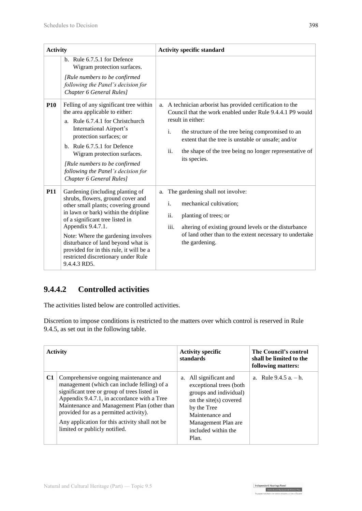| <b>Activity</b> |                                                                                                                                                                                                                                                                                                                                                                                                                                                                                                         | <b>Activity specific standard</b>                                                                                                                                                                                                                                                                                                               |
|-----------------|---------------------------------------------------------------------------------------------------------------------------------------------------------------------------------------------------------------------------------------------------------------------------------------------------------------------------------------------------------------------------------------------------------------------------------------------------------------------------------------------------------|-------------------------------------------------------------------------------------------------------------------------------------------------------------------------------------------------------------------------------------------------------------------------------------------------------------------------------------------------|
| <b>P10</b>      | b. Rule 6.7.5.1 for Defence<br>Wigram protection surfaces.<br>[Rule numbers to be confirmed]<br>following the Panel's decision for<br>Chapter 6 General Rules]<br>Felling of any significant tree within<br>the area applicable to either:<br>a. Rule 6.7.4.1 for Christchurch<br>International Airport's<br>protection surfaces; or<br>b. Rule $6.7.5.1$ for Defence<br>Wigram protection surfaces.<br>[Rule numbers to be confirmed<br>following the Panel's decision for<br>Chapter 6 General Rules] | a. A technician arborist has provided certification to the<br>Council that the work enabled under Rule 9.4.4.1 P9 would<br>result in either:<br>i.<br>the structure of the tree being compromised to an<br>extent that the tree is unstable or unsafe; and/or<br>ii.<br>the shape of the tree being no longer representative of<br>its species. |
| <b>P11</b>      | Gardening (including planting of<br>shrubs, flowers, ground cover and<br>other small plants; covering ground<br>in lawn or bark) within the dripline<br>of a significant tree listed in<br>Appendix 9.4.7.1.<br>Note: Where the gardening involves<br>disturbance of land beyond what is<br>provided for in this rule, it will be a<br>restricted discretionary under Rule<br>9.4.4.3 RD5.                                                                                                              | a. The gardening shall not involve:<br>i.<br>mechanical cultivation;<br>ii.<br>planting of trees; or<br>iii.<br>altering of existing ground levels or the disturbance<br>of land other than to the extent necessary to undertake<br>the gardening.                                                                                              |

# **9.4.4.2 Controlled activities**

The activities listed below are controlled activities.

Discretion to impose conditions is restricted to the matters over which control is reserved in Rule 9.4.5, as set out in the following table.

|    | <b>Activity</b>                                                                                                                                                                                                                                                                                                                                                 | <b>Activity specific</b><br>standards                                                                                                                                                             | The Council's control<br>shall be limited to the<br>following matters: |
|----|-----------------------------------------------------------------------------------------------------------------------------------------------------------------------------------------------------------------------------------------------------------------------------------------------------------------------------------------------------------------|---------------------------------------------------------------------------------------------------------------------------------------------------------------------------------------------------|------------------------------------------------------------------------|
| C1 | Comprehensive ongoing maintenance and<br>management (which can include felling) of a<br>significant tree or group of trees listed in<br>Appendix 9.4.7.1, in accordance with a Tree<br>Maintenance and Management Plan (other than<br>provided for as a permitted activity).<br>Any application for this activity shall not be<br>limited or publicly notified. | All significant and<br>a.<br>exceptional trees (both<br>groups and individual)<br>on the site(s) covered<br>by the Tree<br>Maintenance and<br>Management Plan are<br>included within the<br>Plan. | a. Rule $9.4.5$ a. $- h$ .                                             |

Independent Hearings Panel<br>Christchurch Replacement District Plan<br>Te oaeaee motubake o te mahere whatahou a robe o Ötautah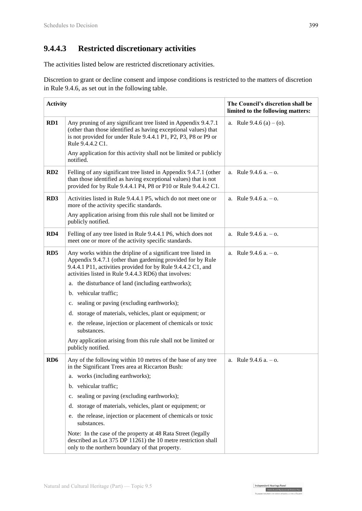## **9.4.4.3 Restricted discretionary activities**

The activities listed below are restricted discretionary activities.

Discretion to grant or decline consent and impose conditions is restricted to the matters of discretion in Rule 9.4.6, as set out in the following table.

| <b>Activity</b> |                                                                                                                                                                                                                                                       | The Council's discretion shall be<br>limited to the following matters: |
|-----------------|-------------------------------------------------------------------------------------------------------------------------------------------------------------------------------------------------------------------------------------------------------|------------------------------------------------------------------------|
| RD1             | Any pruning of any significant tree listed in Appendix 9.4.7.1<br>(other than those identified as having exceptional values) that<br>is not provided for under Rule 9.4.4.1 P1, P2, P3, P8 or P9 or<br>Rule 9.4.4.2 C1.                               | a. Rule $9.4.6$ (a) $-$ (o).                                           |
|                 | Any application for this activity shall not be limited or publicly<br>notified.                                                                                                                                                                       |                                                                        |
| RD2             | Felling of any significant tree listed in Appendix 9.4.7.1 (other<br>than those identified as having exceptional values) that is not<br>provided for by Rule 9.4.4.1 P4, P8 or P10 or Rule 9.4.4.2 C1.                                                | a. Rule $9.4.6$ a. $-$ o.                                              |
| RD <sub>3</sub> | Activities listed in Rule 9.4.4.1 P5, which do not meet one or<br>more of the activity specific standards.                                                                                                                                            | a. Rule $9.4.6$ a. $-$ o.                                              |
|                 | Any application arising from this rule shall not be limited or<br>publicly notified.                                                                                                                                                                  |                                                                        |
| RD4             | Felling of any tree listed in Rule 9.4.4.1 P6, which does not<br>meet one or more of the activity specific standards.                                                                                                                                 | a. Rule $9.4.6$ a. $-$ o.                                              |
| RD <sub>5</sub> | Any works within the dripline of a significant tree listed in<br>Appendix 9.4.7.1 (other than gardening provided for by Rule<br>9.4.4.1 P11, activities provided for by Rule 9.4.4.2 C1, and<br>activities listed in Rule 9.4.4.3 RD6) that involves: | a. Rule $9.4.6$ a. $-$ o.                                              |
|                 | a. the disturbance of land (including earthworks);                                                                                                                                                                                                    |                                                                        |
|                 | b. vehicular traffic;                                                                                                                                                                                                                                 |                                                                        |
|                 | sealing or paving (excluding earthworks);<br>$c_{\cdot}$                                                                                                                                                                                              |                                                                        |
|                 | d. storage of materials, vehicles, plant or equipment; or                                                                                                                                                                                             |                                                                        |
|                 | e. the release, injection or placement of chemicals or toxic<br>substances.                                                                                                                                                                           |                                                                        |
|                 | Any application arising from this rule shall not be limited or<br>publicly notified.                                                                                                                                                                  |                                                                        |
| RD <sub>6</sub> | Any of the following within 10 metres of the base of any tree<br>in the Significant Trees area at Riccarton Bush:                                                                                                                                     | a. Rule $9.4.6$ a. $-$ o.                                              |
|                 | a. works (including earthworks);                                                                                                                                                                                                                      |                                                                        |
|                 | b. vehicular traffic;                                                                                                                                                                                                                                 |                                                                        |
|                 | sealing or paving (excluding earthworks);<br>c.                                                                                                                                                                                                       |                                                                        |
|                 | storage of materials, vehicles, plant or equipment; or<br>d.                                                                                                                                                                                          |                                                                        |
|                 | the release, injection or placement of chemicals or toxic<br>e.<br>substances.                                                                                                                                                                        |                                                                        |
|                 | Note: In the case of the property at 48 Rata Street (legally<br>described as Lot 375 DP 11261) the 10 metre restriction shall<br>only to the northern boundary of that property.                                                                      |                                                                        |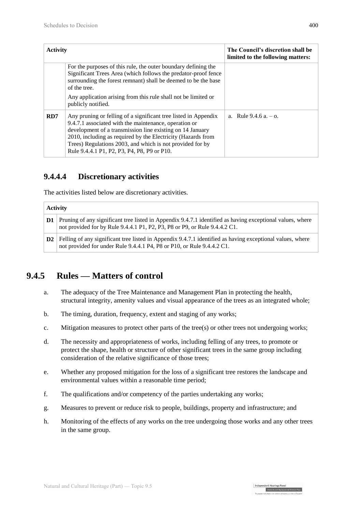| <b>Activity</b> |                                                                                                                                                                                                                                                                                                                                                                   | The Council's discretion shall be<br>limited to the following matters: |
|-----------------|-------------------------------------------------------------------------------------------------------------------------------------------------------------------------------------------------------------------------------------------------------------------------------------------------------------------------------------------------------------------|------------------------------------------------------------------------|
|                 | For the purposes of this rule, the outer boundary defining the<br>Significant Trees Area (which follows the predator-proof fence<br>surrounding the forest remnant) shall be deemed to be the base<br>of the tree.<br>Any application arising from this rule shall not be limited or<br>publicly notified.                                                        |                                                                        |
| RD7             | Any pruning or felling of a significant tree listed in Appendix<br>9.4.7.1 associated with the maintenance, operation or<br>development of a transmission line existing on 14 January<br>2010, including as required by the Electricity (Hazards from<br>Trees) Regulations 2003, and which is not provided for by<br>Rule 9.4.4.1 P1, P2, P3, P4, P8, P9 or P10. | a. Rule $9.4.6$ a. $-$ o.                                              |

### **9.4.4.4 Discretionary activities**

The activities listed below are discretionary activities.

# **Activity D1** Pruning of any significant tree listed in Appendix 9.4.7.1 identified as having exceptional values, where not provided for by Rule 9.4.4.1 P1, P2, P3, P8 or P9, or Rule 9.4.4.2 C1. **D2** Felling of any significant tree listed in Appendix 9.4.7.1 identified as having exceptional values, where not provided for under Rule 9.4.4.1 P4, P8 or P10, or Rule 9.4.4.2 C1.

# **9.4.5 Rules — Matters of control**

- a. The adequacy of the Tree Maintenance and Management Plan in protecting the health, structural integrity, amenity values and visual appearance of the trees as an integrated whole;
- b. The timing, duration, frequency, extent and staging of any works;
- c. Mitigation measures to protect other parts of the tree(s) or other trees not undergoing works;
- d. The necessity and appropriateness of works, including felling of any trees, to promote or protect the shape, health or structure of other significant trees in the same group including consideration of the relative significance of those trees;
- e. Whether any proposed mitigation for the loss of a significant tree restores the landscape and environmental values within a reasonable time period;
- f. The qualifications and/or competency of the parties undertaking any works;
- g. Measures to prevent or reduce risk to people, buildings, property and infrastructure; and
- h. Monitoring of the effects of any works on the tree undergoing those works and any other trees in the same group.

Independent Hearings Panel

Christchurch Replacement District Plan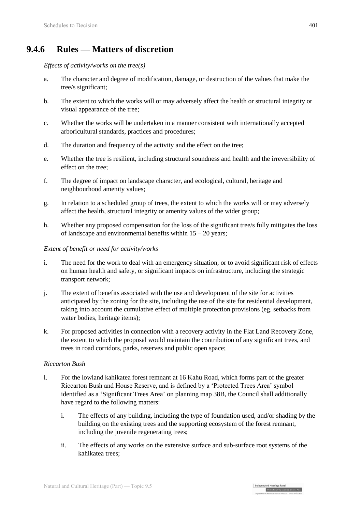# **9.4.6 Rules — Matters of discretion**

*Effects of activity/works on the tree(s)*

- a. The character and degree of modification, damage, or destruction of the values that make the tree/s significant;
- b. The extent to which the works will or may adversely affect the health or structural integrity or visual appearance of the tree;
- c. Whether the works will be undertaken in a manner consistent with internationally accepted arboricultural standards, practices and procedures;
- d. The duration and frequency of the activity and the effect on the tree;
- e. Whether the tree is resilient, including structural soundness and health and the irreversibility of effect on the tree;
- f. The degree of impact on landscape character, and ecological, cultural, heritage and neighbourhood amenity values;
- g. In relation to a scheduled group of trees, the extent to which the works will or may adversely affect the health, structural integrity or amenity values of the wider group;
- h. Whether any proposed compensation for the loss of the significant tree/s fully mitigates the loss of landscape and environmental benefits within  $15 - 20$  years;

#### *Extent of benefit or need for activity/works*

- i. The need for the work to deal with an emergency situation, or to avoid significant risk of effects on human health and safety, or significant impacts on infrastructure, including the strategic transport network;
- j. The extent of benefits associated with the use and development of the site for activities anticipated by the zoning for the site, including the use of the site for residential development, taking into account the cumulative effect of multiple protection provisions (eg. setbacks from water bodies, heritage items);
- k. For proposed activities in connection with a recovery activity in the Flat Land Recovery Zone, the extent to which the proposal would maintain the contribution of any significant trees, and trees in road corridors, parks, reserves and public open space;

#### *Riccarton Bush*

- l. For the lowland kahikatea forest remnant at 16 Kahu Road, which forms part of the greater Riccarton Bush and House Reserve, and is defined by a 'Protected Trees Area' symbol identified as a 'Significant Trees Area' on planning map 38B, the Council shall additionally have regard to the following matters:
	- i. The effects of any building, including the type of foundation used, and/or shading by the building on the existing trees and the supporting ecosystem of the forest remnant, including the juvenile regenerating trees;
	- ii. The effects of any works on the extensive surface and sub-surface root systems of the kahikatea trees;

| Independent Hearings Pane

Christchurch Replacement District Plan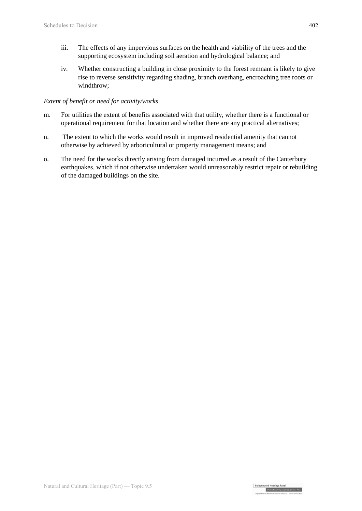- iii. The effects of any impervious surfaces on the health and viability of the trees and the supporting ecosystem including soil aeration and hydrological balance; and
- iv. Whether constructing a building in close proximity to the forest remnant is likely to give rise to reverse sensitivity regarding shading, branch overhang, encroaching tree roots or windthrow;

#### *Extent of benefit or need for activity/works*

- m. For utilities the extent of benefits associated with that utility, whether there is a functional or operational requirement for that location and whether there are any practical alternatives;
- n. The extent to which the works would result in improved residential amenity that cannot otherwise by achieved by arboricultural or property management means; and
- o. The need for the works directly arising from damaged incurred as a result of the Canterbury earthquakes, which if not otherwise undertaken would unreasonably restrict repair or rebuilding of the damaged buildings on the site.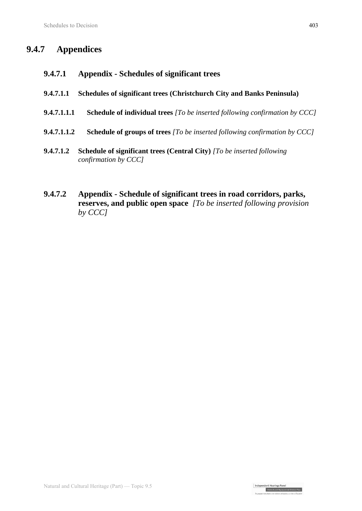# **9.4.7 Appendices**

- **9.4.7.1 Appendix - Schedules of significant trees**
- **9.4.7.1.1 Schedules of significant trees (Christchurch City and Banks Peninsula)**
- **9.4.7.1.1.1 Schedule of individual trees** *[To be inserted following confirmation by CCC]*
- **9.4.7.1.1.2 Schedule of groups of trees** *[To be inserted following confirmation by CCC]*
- **9.4.7.1.2 Schedule of significant trees (Central City)** *[To be inserted following confirmation by CCC]*
- **9.4.7.2 Appendix - Schedule of significant trees in road corridors, parks, reserves, and public open space** *[To be inserted following provision by CCC]*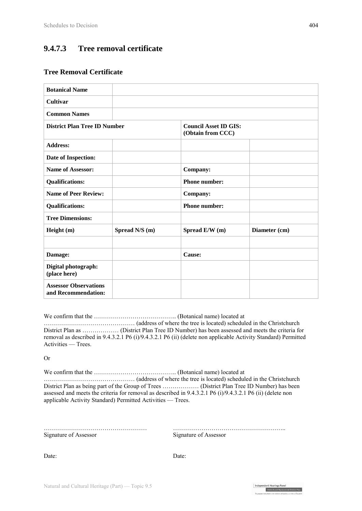## **9.4.7.3 Tree removal certificate**

#### **Tree Removal Certificate**

| <b>Botanical Name</b>                               |                |                      |                              |  |
|-----------------------------------------------------|----------------|----------------------|------------------------------|--|
| <b>Cultivar</b>                                     |                |                      |                              |  |
| <b>Common Names</b>                                 |                |                      |                              |  |
| <b>District Plan Tree ID Number</b>                 |                | (Obtain from CCC)    | <b>Council Asset ID GIS:</b> |  |
| <b>Address:</b>                                     |                |                      |                              |  |
| Date of Inspection:                                 |                |                      |                              |  |
| Name of Assessor:                                   |                | Company:             |                              |  |
| <b>Qualifications:</b>                              |                | <b>Phone number:</b> |                              |  |
| <b>Name of Peer Review:</b>                         |                | Company:             |                              |  |
| <b>Qualifications:</b>                              |                | <b>Phone number:</b> |                              |  |
| <b>Tree Dimensions:</b>                             |                |                      |                              |  |
| Height (m)                                          | Spread N/S (m) | Spread E/W (m)       | Diameter (cm)                |  |
|                                                     |                |                      |                              |  |
| Damage:                                             |                | Cause:               |                              |  |
| Digital photograph:<br>(place here)                 |                |                      |                              |  |
| <b>Assessor Observations</b><br>and Recommendation: |                |                      |                              |  |

We confirm that the ………………………………….. (Botanical name) located at

……………………………………… (address of where the tree is located) scheduled in the Christchurch District Plan as ……………… (District Plan Tree ID Number) has been assessed and meets the criteria for removal as described in 9.4.3.2.1 P6 (i)/9.4.3.2.1 P6 (ii) (delete non applicable Activity Standard) Permitted Activities — Trees.

Or

We confirm that the ………………………………….. (Botanical name) located at

……………………………………… (address of where the tree is located) scheduled in the Christchurch District Plan as being part of the Group of Trees ……………… (District Plan Tree ID Number) has been assessed and meets the criteria for removal as described in 9.4.3.2.1 P6 (i)/9.4.3.2.1 P6 (ii) (delete non applicable Activity Standard) Permitted Activities — Trees.

Signature of Assessor Signature of Assessor

…………………………………………… ………………………………………………..

Independent Hearings Panel

Christchurch Replacement District P

Date: Date: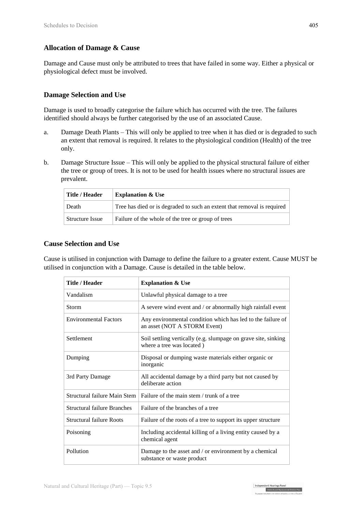#### **Allocation of Damage & Cause**

Damage and Cause must only be attributed to trees that have failed in some way. Either a physical or physiological defect must be involved.

#### **Damage Selection and Use**

Damage is used to broadly categorise the failure which has occurred with the tree. The failures identified should always be further categorised by the use of an associated Cause.

- a. Damage Death Plants This will only be applied to tree when it has died or is degraded to such an extent that removal is required. It relates to the physiological condition (Health) of the tree only.
- b. Damage Structure Issue This will only be applied to the physical structural failure of either the tree or group of trees. It is not to be used for health issues where no structural issues are prevalent.

| Title / Header         | <b>Explanation &amp; Use</b>                                            |
|------------------------|-------------------------------------------------------------------------|
| Death                  | Tree has died or is degraded to such an extent that removal is required |
| <b>Structure Issue</b> | Failure of the whole of the tree or group of trees                      |

#### **Cause Selection and Use**

Cause is utilised in conjunction with Damage to define the failure to a greater extent. Cause MUST be utilised in conjunction with a Damage. Cause is detailed in the table below.

| <b>Title / Header</b>              | <b>Explanation &amp; Use</b>                                                                |
|------------------------------------|---------------------------------------------------------------------------------------------|
| Vandalism                          | Unlawful physical damage to a tree                                                          |
| Storm                              | A severe wind event and / or abnormally high rainfall event                                 |
| <b>Environmental Factors</b>       | Any environmental condition which has led to the failure of<br>an asset (NOT A STORM Event) |
| Settlement                         | Soil settling vertically (e.g. slumpage on grave site, sinking<br>where a tree was located) |
| Dumping                            | Disposal or dumping waste materials either organic or<br>inorganic                          |
| 3rd Party Damage                   | All accidental damage by a third party but not caused by<br>deliberate action               |
| Structural failure Main Stem       | Failure of the main stem / trunk of a tree                                                  |
| <b>Structural failure Branches</b> | Failure of the branches of a tree                                                           |
| <b>Structural failure Roots</b>    | Failure of the roots of a tree to support its upper structure                               |
| Poisoning                          | Including accidental killing of a living entity caused by a<br>chemical agent               |
| Pollution                          | Damage to the asset and / or environment by a chemical<br>substance or waste product        |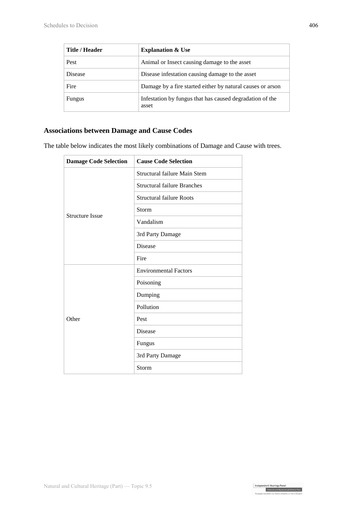| Title / Header | <b>Explanation &amp; Use</b>                                      |
|----------------|-------------------------------------------------------------------|
| Pest           | Animal or Insect causing damage to the asset                      |
| <b>Disease</b> | Disease infestation causing damage to the asset                   |
| Fire           | Damage by a fire started either by natural causes or arson        |
| <b>Fungus</b>  | Infestation by fungus that has caused degradation of the<br>asset |

### **Associations between Damage and Cause Codes**

The table below indicates the most likely combinations of Damage and Cause with trees.

| <b>Damage Code Selection</b> | <b>Cause Code Selection</b>        |
|------------------------------|------------------------------------|
| <b>Structure Issue</b>       | Structural failure Main Stem       |
|                              | <b>Structural failure Branches</b> |
|                              | <b>Structural failure Roots</b>    |
|                              | Storm                              |
|                              | Vandalism                          |
|                              | 3rd Party Damage                   |
|                              | <b>Disease</b>                     |
|                              | Fire                               |
| Other                        | <b>Environmental Factors</b>       |
|                              | Poisoning                          |
|                              | Dumping                            |
|                              | Pollution                          |
|                              | Pest                               |
|                              | Disease                            |
|                              | Fungus                             |
|                              | 3rd Party Damage                   |
|                              | Storm                              |